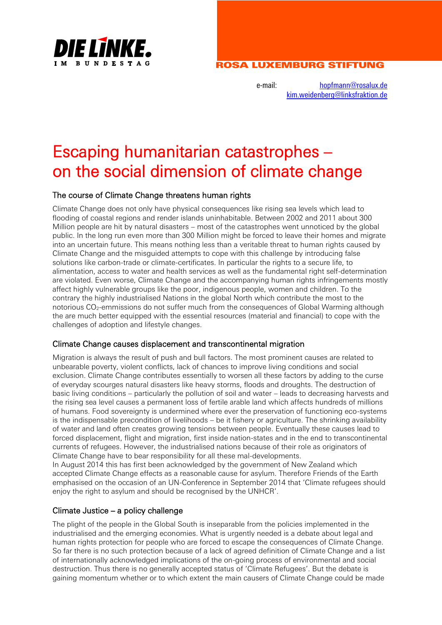

# ROSA LUXEMBURG STIFTUNG

e-mail: [hopfmann@rosalux.de](mailto:hopfmann@rosalux.de) [kim.weidenberg@linksfraktion.de](mailto:kim.weidenberg@linksfraktion.de)

# Escaping humanitarian catastrophes – on the social dimension of climate change

# The course of Climate Change threatens human rights

Climate Change does not only have physical consequences like rising sea levels which lead to flooding of coastal regions and render islands uninhabitable. Between 2002 and 2011 about 300 Million people are hit by natural disasters – most of the catastrophes went unnoticed by the global public. In the long run even more than 300 Million might be forced to leave their homes and migrate into an uncertain future. This means nothing less than a veritable threat to human rights caused by Climate Change and the misguided attempts to cope with this challenge by introducing false solutions like carbon-trade or climate-certificates. In particular the rights to a secure life, to alimentation, access to water and health services as well as the fundamental right self-determination are violated. Even worse, Climate Change and the accompanying human rights infringements mostly affect highly vulnerable groups like the poor, indigenous people, women and children. To the contrary the highly industrialised Nations in the global North which contribute the most to the notorious CO<sub>2</sub>-emmissions do not suffer much from the consequences of Global Warming although the are much better equipped with the essential resources (material and financial) to cope with the challenges of adoption and lifestyle changes.

# Climate Change causes displacement and transcontinental migration

Migration is always the result of push and bull factors. The most prominent causes are related to unbearable poverty, violent conflicts, lack of chances to improve living conditions and social exclusion. Climate Change contributes essentially to worsen all these factors by adding to the curse of everyday scourges natural disasters like heavy storms, floods and droughts. The destruction of basic living conditions – particularly the pollution of soil and water – leads to decreasing harvests and the rising sea level causes a permanent loss of fertile arable land which affects hundreds of millions of humans. Food sovereignty is undermined where ever the preservation of functioning eco-systems is the indispensable precondition of livelihoods – be it fishery or agriculture. The shrinking availability of water and land often creates growing tensions between people. Eventually these causes lead to forced displacement, flight and migration, first inside nation-states and in the end to transcontinental currents of refugees. However, the industrialised nations because of their role as originators of Climate Change have to bear responsibility for all these mal-developments.

In August 2014 this has first been acknowledged by the government of New Zealand which accepted Climate Change effects as a reasonable cause for asylum. Therefore Friends of the Earth emphasised on the occasion of an UN-Conference in September 2014 that 'Climate refugees should enjoy the right to asylum and should be recognised by the UNHCR'.

# Climate Justice – a policy challenge

The plight of the people in the Global South is inseparable from the policies implemented in the industrialised and the emerging economies. What is urgently needed is a debate about legal and human rights protection for people who are forced to escape the consequences of Climate Change. So far there is no such protection because of a lack of agreed definition of Climate Change and a list of internationally acknowledged implications of the on-going process of environmental and social destruction. Thus there is no generally accepted status of 'Climate Refugees'. But the debate is gaining momentum whether or to which extent the main causers of Climate Change could be made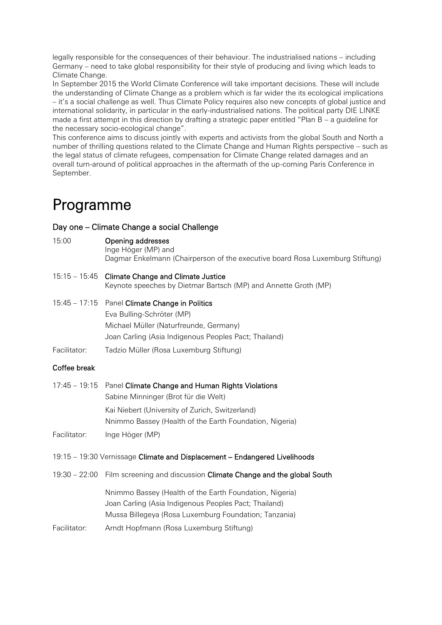legally responsible for the consequences of their behaviour. The industrialised nations – including Germany – need to take global responsibility for their style of producing and living which leads to Climate Change.

In September 2015 the World Climate Conference will take important decisions. These will include the understanding of Climate Change as a problem which is far wider the its ecological implications – it's a social challenge as well. Thus Climate Policy requires also new concepts of global justice and international solidarity, in particular in the early-industrialised nations. The political party DIE LINKE made a first attempt in this direction by drafting a strategic paper entitled "Plan B – a guideline for the necessary socio-ecological change".

This conference aims to discuss jointly with experts and activists from the global South and North a number of thrilling questions related to the Climate Change and Human Rights perspective – such as the legal status of climate refugees, compensation for Climate Change related damages and an overall turn-around of political approaches in the aftermath of the up-coming Paris Conference in September.

# Programme

# Day one – Climate Change a social Challenge

15:00 Opening addresses

Inge Höger (MP) and

Dagmar Enkelmann (Chairperson of the executive board Rosa Luxemburg Stiftung)

- 15:15 15:45 Climate Change and Climate Justice Keynote speeches by Dietmar Bartsch (MP) and Annette Groth (MP)
- 15:45 17:15 Panel Climate Change in Politics Eva Bulling-Schröter (MP) Michael Müller (Naturfreunde, Germany) Joan Carling (Asia Indigenous Peoples Pact; Thailand)
- Facilitator: Tadzio Müller (Rosa Luxemburg Stiftung)

# Coffee break

| 17:45 – 19:15 Panel Climate Change and Human Rights Violations |
|----------------------------------------------------------------|
| Sabine Minninger (Brot für die Welt)                           |
| Kai Niebert (University of Zurich, Switzerland)                |
| Nnimmo Bassey (Health of the Earth Foundation, Nigeria)        |
|                                                                |

- Facilitator: Inge Höger (MP)
- 19:15 19:30 Vernissage Climate and Displacement Endangered Livelihoods
- 19:30 22:00 Film screening and discussion Climate Change and the global South

Nnimmo Bassey (Health of the Earth Foundation, Nigeria) Joan Carling (Asia Indigenous Peoples Pact; Thailand) Mussa Billegeya (Rosa Luxemburg Foundation; Tanzania)

Facilitator: Arndt Hopfmann (Rosa Luxemburg Stiftung)